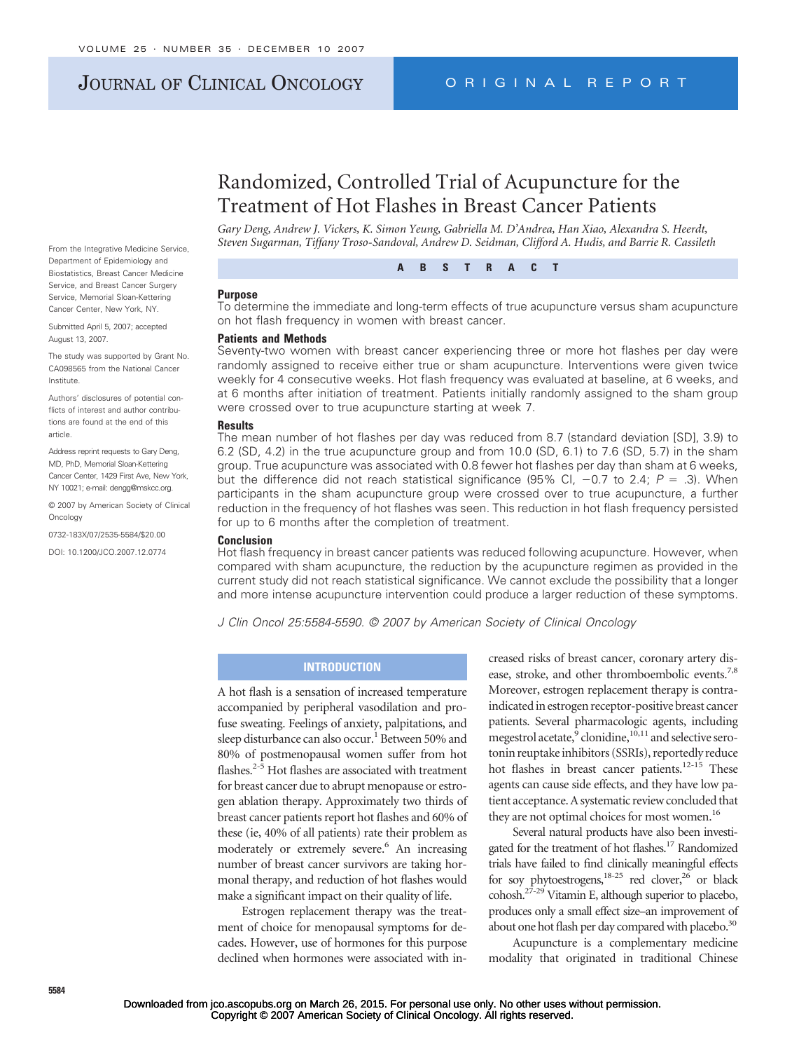# JOURNAL OF CLINICAL ONCOLOGY ORIGINAL REPORT

# Randomized, Controlled Trial of Acupuncture for the Treatment of Hot Flashes in Breast Cancer Patients

*Gary Deng, Andrew J. Vickers, K. Simon Yeung, Gabriella M. D'Andrea, Han Xiao, Alexandra S. Heerdt, Steven Sugarman, Tiffany Troso-Sandoval, Andrew D. Seidman, Clifford A. Hudis, and Barrie R. Cassileth*

**ABSTRACT**

#### **Purpose**

To determine the immediate and long-term effects of true acupuncture versus sham acupuncture on hot flash frequency in women with breast cancer.

#### **Patients and Methods**

Seventy-two women with breast cancer experiencing three or more hot flashes per day were randomly assigned to receive either true or sham acupuncture. Interventions were given twice weekly for 4 consecutive weeks. Hot flash frequency was evaluated at baseline, at 6 weeks, and at 6 months after initiation of treatment. Patients initially randomly assigned to the sham group were crossed over to true acupuncture starting at week 7.

### **Results**

The mean number of hot flashes per day was reduced from 8.7 (standard deviation [SD], 3.9) to 6.2 (SD, 4.2) in the true acupuncture group and from 10.0 (SD, 6.1) to 7.6 (SD, 5.7) in the sham group. True acupuncture was associated with 0.8 fewer hot flashes per day than sham at 6 weeks, but the difference did not reach statistical significance (95% CI,  $-0.7$  to 2.4;  $P = .3$ ). When participants in the sham acupuncture group were crossed over to true acupuncture, a further reduction in the frequency of hot flashes was seen. This reduction in hot flash frequency persisted for up to 6 months after the completion of treatment.

#### **Conclusion**

Hot flash frequency in breast cancer patients was reduced following acupuncture. However, when compared with sham acupuncture, the reduction by the acupuncture regimen as provided in the current study did not reach statistical significance. We cannot exclude the possibility that a longer and more intense acupuncture intervention could produce a larger reduction of these symptoms.

*J Clin Oncol 25:5584-5590. © 2007 by American Society of Clinical Oncology*

# **INTRODUCTION**

A hot flash is a sensation of increased temperature accompanied by peripheral vasodilation and profuse sweating. Feelings of anxiety, palpitations, and sleep disturbance can also occur.<sup>1</sup> Between 50% and 80% of postmenopausal women suffer from hot flashes.<sup>2-5</sup> Hot flashes are associated with treatment for breast cancer due to abrupt menopause or estrogen ablation therapy. Approximately two thirds of breast cancer patients report hot flashes and 60% of these (ie, 40% of all patients) rate their problem as moderately or extremely severe.<sup>6</sup> An increasing number of breast cancer survivors are taking hormonal therapy, and reduction of hot flashes would make a significant impact on their quality of life.

Estrogen replacement therapy was the treatment of choice for menopausal symptoms for decades. However, use of hormones for this purpose declined when hormones were associated with in-

creased risks of breast cancer, coronary artery disease, stroke, and other thromboembolic events.<sup>7,8</sup> Moreover, estrogen replacement therapy is contraindicated in estrogen receptor-positive breast cancer patients. Several pharmacologic agents, including megestrol acetate, $9$  clonidine, $10,11$  and selective serotonin reuptake inhibitors (SSRIs), reportedly reduce hot flashes in breast cancer patients.<sup>12-15</sup> These agents can cause side effects, and they have low patient acceptance. A systematic review concluded that they are not optimal choices for most women.<sup>16</sup>

Several natural products have also been investigated for the treatment of hot flashes.<sup>17</sup> Randomized trials have failed to find clinically meaningful effects for soy phytoestrogens,<sup>18-25</sup> red clover,<sup>26</sup> or black cohosh.27-29 Vitamin E, although superior to placebo, produces only a small effect size–an improvement of about one hot flash per day compared with placebo.<sup>30</sup>

Acupuncture is a complementary medicine modality that originated in traditional Chinese

**5584**

From the Integrative Medicine Service, Department of Epidemiology and Biostatistics, Breast Cancer Medicine Service, and Breast Cancer Surgery Service, Memorial Sloan-Kettering Cancer Center, New York, NY.

Submitted April 5, 2007; accepted August 13, 2007.

The study was supported by Grant No. CA098565 from the National Cancer Institute.

Authors' disclosures of potential conflicts of interest and author contributions are found at the end of this article.

Address reprint requests to Gary Deng, MD, PhD, Memorial Sloan-Kettering Cancer Center, 1429 First Ave, New York, NY 10021; e-mail: dengg@mskcc.org.

© 2007 by American Society of Clinical Oncology

0732-183X/07/2535-5584/\$20.00

DOI: 10.1200/JCO.2007.12.0774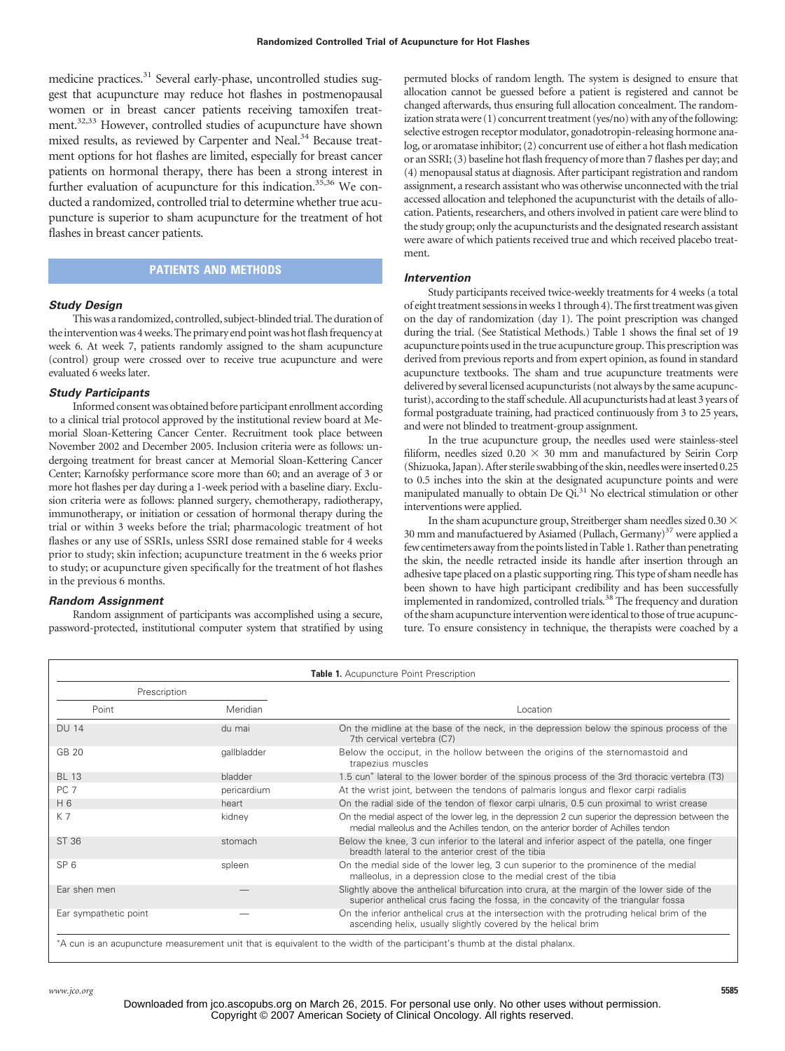medicine practices.<sup>31</sup> Several early-phase, uncontrolled studies suggest that acupuncture may reduce hot flashes in postmenopausal women or in breast cancer patients receiving tamoxifen treatment.32,33 However, controlled studies of acupuncture have shown mixed results, as reviewed by Carpenter and Neal.<sup>34</sup> Because treatment options for hot flashes are limited, especially for breast cancer patients on hormonal therapy, there has been a strong interest in further evaluation of acupuncture for this indication.<sup>35,36</sup> We conducted a randomized, controlled trial to determine whether true acupuncture is superior to sham acupuncture for the treatment of hot flashes in breast cancer patients.

# **PATIENTS AND METHODS**

#### *Study Design*

Thiswas a randomized, controlled, subject-blinded trial. The duration of the intervention was 4 weeks. The primary end point was hot flash frequency at week 6. At week 7, patients randomly assigned to the sham acupuncture (control) group were crossed over to receive true acupuncture and were evaluated 6 weeks later.

### *Study Participants*

Informed consent was obtained before participant enrollment according to a clinical trial protocol approved by the institutional review board at Memorial Sloan-Kettering Cancer Center. Recruitment took place between November 2002 and December 2005. Inclusion criteria were as follows: undergoing treatment for breast cancer at Memorial Sloan-Kettering Cancer Center; Karnofsky performance score more than 60; and an average of 3 or more hot flashes per day during a 1-week period with a baseline diary. Exclusion criteria were as follows: planned surgery, chemotherapy, radiotherapy, immunotherapy, or initiation or cessation of hormonal therapy during the trial or within 3 weeks before the trial; pharmacologic treatment of hot flashes or any use of SSRIs, unless SSRI dose remained stable for 4 weeks prior to study; skin infection; acupuncture treatment in the 6 weeks prior to study; or acupuncture given specifically for the treatment of hot flashes in the previous 6 months.

### *Random Assignment*

Random assignment of participants was accomplished using a secure, password-protected, institutional computer system that stratified by using permuted blocks of random length. The system is designed to ensure that allocation cannot be guessed before a patient is registered and cannot be changed afterwards, thus ensuring full allocation concealment. The randomization strata were  $(1)$  concurrent treatment (yes/no) with any of the following: selective estrogen receptor modulator, gonadotropin-releasing hormone analog, or aromatase inhibitor; (2) concurrent use of either a hot flash medication or an SSRI; (3) baseline hot flash frequency of more than 7 flashes per day; and (4) menopausal status at diagnosis. After participant registration and random assignment, a research assistant who was otherwise unconnected with the trial accessed allocation and telephoned the acupuncturist with the details of allocation. Patients, researchers, and others involved in patient care were blind to the study group; only the acupuncturists and the designated research assistant were aware of which patients received true and which received placebo treatment.

#### *Intervention*

Study participants received twice-weekly treatments for 4 weeks (a total of eight treatment sessionsinweeks 1 through 4). The first treatmentwas given on the day of randomization (day 1). The point prescription was changed during the trial. (See Statistical Methods.) Table 1 shows the final set of 19 acupuncture points used in the true acupuncture group. This prescription was derived from previous reports and from expert opinion, as found in standard acupuncture textbooks. The sham and true acupuncture treatments were delivered by several licensed acupuncturists (not always by the same acupuncturist), according to the staff schedule. All acupuncturists had at least 3 years of formal postgraduate training, had practiced continuously from 3 to 25 years, and were not blinded to treatment-group assignment.

In the true acupuncture group, the needles used were stainless-steel filiform, needles sized  $0.20 \times 30$  mm and manufactured by Seirin Corp (Shizuoka, Japan). After sterile swabbing of the skin, needles were inserted 0.25 to 0.5 inches into the skin at the designated acupuncture points and were manipulated manually to obtain De Qi.<sup>31</sup> No electrical stimulation or other interventions were applied.

In the sham acupuncture group, Streitberger sham needles sized 0.30  $\times$ 30 mm and manufactuered by Asiamed (Pullach, Germany) $37$  were applied a few centimeters away from the points listed in Table 1. Rather than penetrating the skin, the needle retracted inside its handle after insertion through an adhesive tape placed on a plastic supporting ring. This type of sham needle has been shown to have high participant credibility and has been successfully implemented in randomized, controlled trials.38 The frequency and duration of the sham acupuncture intervention were identical to those of true acupuncture. To ensure consistency in technique, the therapists were coached by a

| Prescription          |             |                                                                                                                                                                                           |  |
|-----------------------|-------------|-------------------------------------------------------------------------------------------------------------------------------------------------------------------------------------------|--|
| Point                 | Meridian    | Location                                                                                                                                                                                  |  |
| <b>DU 14</b>          | du mai      | On the midline at the base of the neck, in the depression below the spinous process of the<br>7th cervical vertebra (C7)                                                                  |  |
| GB 20                 | qallbladder | Below the occiput, in the hollow between the origins of the sternomastoid and<br>trapezius muscles                                                                                        |  |
| <b>BL 13</b>          | bladder     | 1.5 cun <sup>*</sup> lateral to the lower border of the spinous process of the 3rd thoracic vertebra (T3)                                                                                 |  |
| PC <sub>7</sub>       | pericardium | At the wrist joint, between the tendons of palmaris longus and flexor carpi radialis                                                                                                      |  |
| H 6                   | heart       | On the radial side of the tendon of flexor carpi ulnaris, 0.5 cun proximal to wrist crease                                                                                                |  |
| K 7                   | kidney      | On the medial aspect of the lower leg, in the depression 2 cun superior the depression between the<br>medial malleolus and the Achilles tendon, on the anterior border of Achilles tendon |  |
| ST 36                 | stomach     | Below the knee, 3 cun inferior to the lateral and inferior aspect of the patella, one finger<br>breadth lateral to the anterior crest of the tibia                                        |  |
| SP <sub>6</sub>       | spleen      | On the medial side of the lower leg, 3 cun superior to the prominence of the medial<br>malleolus, in a depression close to the medial crest of the tibia                                  |  |
| Ear shen men          |             | Slightly above the anthelical bifurcation into crura, at the margin of the lower side of the<br>superior anthelical crus facing the fossa, in the concavity of the triangular fossa       |  |
| Ear sympathetic point |             | On the inferior anthelical crus at the intersection with the protruding helical brim of the<br>ascending helix, usually slightly covered by the helical brim                              |  |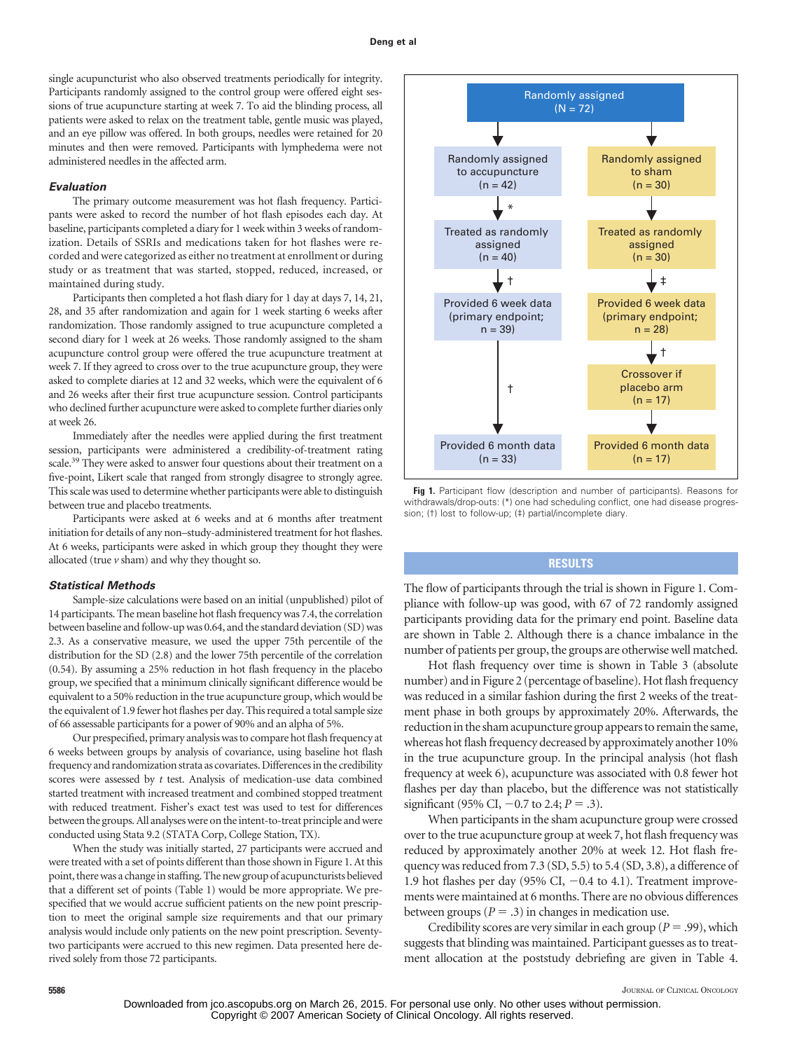single acupuncturist who also observed treatments periodically for integrity. Participants randomly assigned to the control group were offered eight sessions of true acupuncture starting at week 7. To aid the blinding process, all patients were asked to relax on the treatment table, gentle music was played, and an eye pillow was offered. In both groups, needles were retained for 20 minutes and then were removed. Participants with lymphedema were not administered needles in the affected arm.

## *Evaluation*

The primary outcome measurement was hot flash frequency. Participants were asked to record the number of hot flash episodes each day. At baseline, participants completed a diary for 1 week within 3 weeks of randomization. Details of SSRIs and medications taken for hot flashes were recorded and were categorized as either no treatment at enrollment or during study or as treatment that was started, stopped, reduced, increased, or maintained during study.

Participants then completed a hot flash diary for 1 day at days 7, 14, 21, 28, and 35 after randomization and again for 1 week starting 6 weeks after randomization. Those randomly assigned to true acupuncture completed a second diary for 1 week at 26 weeks. Those randomly assigned to the sham acupuncture control group were offered the true acupuncture treatment at week 7. If they agreed to cross over to the true acupuncture group, they were asked to complete diaries at 12 and 32 weeks, which were the equivalent of 6 and 26 weeks after their first true acupuncture session. Control participants who declined further acupuncture were asked to complete further diaries only at week 26.

Immediately after the needles were applied during the first treatment session, participants were administered a credibility-of-treatment rating scale.<sup>39</sup> They were asked to answer four questions about their treatment on a five-point, Likert scale that ranged from strongly disagree to strongly agree. This scale was used to determine whether participants were able to distinguish between true and placebo treatments.

Participants were asked at 6 weeks and at 6 months after treatment initiation for details of any non–study-administered treatment for hot flashes. At 6 weeks, participants were asked in which group they thought they were allocated (true  $\nu$  sham) and why they thought so.

#### *Statistical Methods*

Sample-size calculations were based on an initial (unpublished) pilot of 14 participants. The mean baseline hot flash frequency was 7.4, the correlation between baseline and follow-up was 0.64, and the standard deviation (SD) was 2.3. As a conservative measure, we used the upper 75th percentile of the distribution for the SD (2.8) and the lower 75th percentile of the correlation (0.54). By assuming a 25% reduction in hot flash frequency in the placebo group, we specified that a minimum clinically significant difference would be equivalent to a 50% reduction in the true acupuncture group, which would be the equivalent of 1.9 fewer hot flashes per day. This required a total sample size of 66 assessable participants for a power of 90% and an alpha of 5%.

Our prespecified, primary analysis was to compare hot flash frequency at 6 weeks between groups by analysis of covariance, using baseline hot flash frequency and randomization strata as covariates. Differences in the credibility scores were assessed by *t* test. Analysis of medication-use data combined started treatment with increased treatment and combined stopped treatment with reduced treatment. Fisher's exact test was used to test for differences between the groups. All analyses were on the intent-to-treat principle and were conducted using Stata 9.2 (STATA Corp, College Station, TX).

When the study was initially started, 27 participants were accrued and were treated with a set of points different than those shown in Figure 1. At this point, there was a change in staffing. The new group of acupuncturists believed that a different set of points (Table 1) would be more appropriate. We prespecified that we would accrue sufficient patients on the new point prescription to meet the original sample size requirements and that our primary analysis would include only patients on the new point prescription. Seventytwo participants were accrued to this new regimen. Data presented here derived solely from those 72 participants.



**Fig 1.** Participant flow (description and number of participants). Reasons for withdrawals/drop-outs: (\*) one had scheduling conflict, one had disease progression; (†) lost to follow-up; (‡) partial/incomplete diary.

# **RESULTS**

The flow of participants through the trial is shown in Figure 1. Compliance with follow-up was good, with 67 of 72 randomly assigned participants providing data for the primary end point. Baseline data are shown in Table 2. Although there is a chance imbalance in the number of patients per group, the groups are otherwise well matched.

Hot flash frequency over time is shown in Table 3 (absolute number) and in Figure 2 (percentage of baseline). Hot flash frequency was reduced in a similar fashion during the first 2 weeks of the treatment phase in both groups by approximately 20%. Afterwards, the reduction in the sham acupuncture group appears to remain the same, whereas hot flash frequency decreased by approximately another 10% in the true acupuncture group. In the principal analysis (hot flash frequency at week 6), acupuncture was associated with 0.8 fewer hot flashes per day than placebo, but the difference was not statistically significant (95% CI,  $-0.7$  to 2.4;  $P = .3$ ).

When participants in the sham acupuncture group were crossed over to the true acupuncture group at week 7, hot flash frequency was reduced by approximately another 20% at week 12. Hot flash frequency was reduced from 7.3 (SD, 5.5) to 5.4 (SD, 3.8), a difference of 1.9 hot flashes per day (95% CI,  $-0.4$  to 4.1). Treatment improvements were maintained at 6 months. There are no obvious differences between groups ( $P = .3$ ) in changes in medication use.

Credibility scores are very similar in each group ( $P = .99$ ), which suggests that blinding was maintained. Participant guesses as to treatment allocation at the poststudy debriefing are given in Table 4.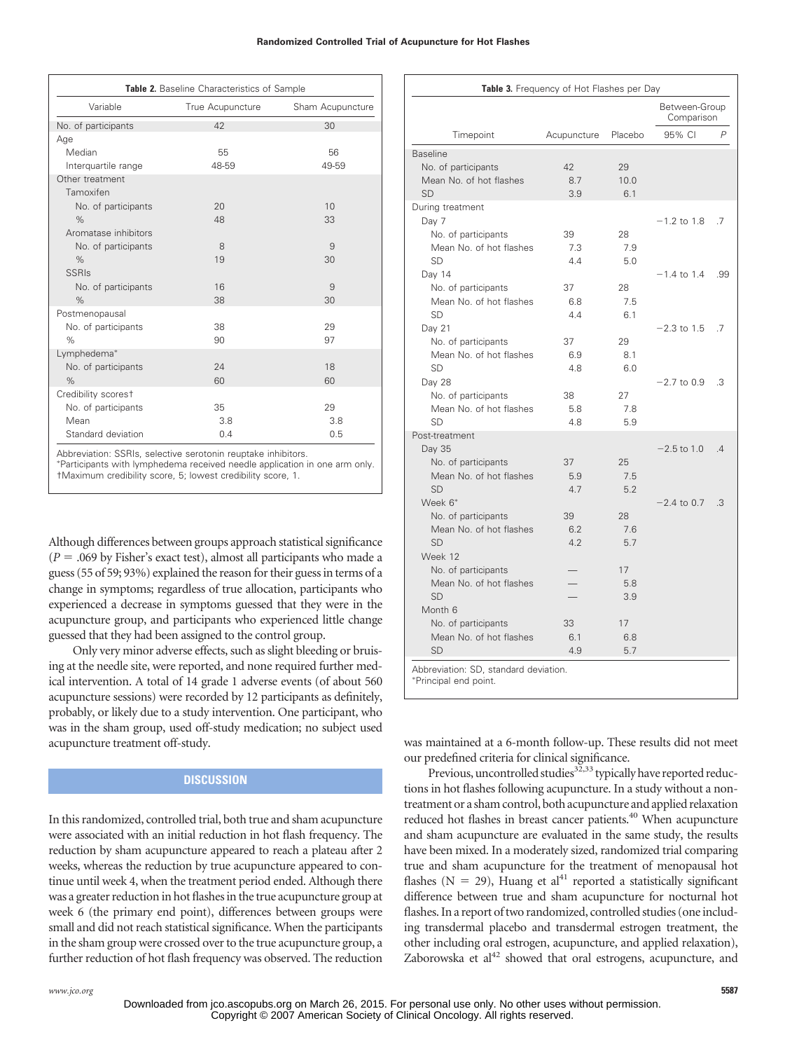| Variable                     | True Acupuncture | Sham Acupuncture |
|------------------------------|------------------|------------------|
| No. of participants          | 42               | 30               |
| Age                          |                  |                  |
| Median                       | 55               | 56               |
| Interquartile range          | 48-59            | 49-59            |
| Other treatment<br>Tamoxifen |                  |                  |
| No. of participants          | 20               | 10 <sup>1</sup>  |
| $\%$                         | 48               | 33               |
| Aromatase inhibitors         |                  |                  |
| No. of participants          | 8                | 9                |
| $\%$                         | 19               | 30               |
| <b>SSRIs</b>                 |                  |                  |
| No. of participants          | 16               | 9                |
| $\%$                         | 38               | 30               |
| Postmenopausal               |                  |                  |
| No. of participants          | 38               | 29               |
| $\%$                         | 90               | 97               |
| Lymphedema*                  |                  |                  |
| No. of participants          | 24               | 18               |
| $\%$                         | 60               | 60               |
| Credibility scorest          |                  |                  |
| No. of participants          | 35               | 29               |
| Mean                         | 3.8              | 3.8              |
| Standard deviation           | 0.4              | 0.5              |

Abbreviation: SSRIs, selective serotonin reuptake inhibitors.

 Participants with lymphedema received needle application in one arm only. †Maximum credibility score, 5; lowest credibility score, 1.

Although differences between groups approach statistical significance  $(P = .069$  by Fisher's exact test), almost all participants who made a guess (55 of 59; 93%) explained the reason for their guess in terms of a change in symptoms; regardless of true allocation, participants who experienced a decrease in symptoms guessed that they were in the acupuncture group, and participants who experienced little change guessed that they had been assigned to the control group.

Only very minor adverse effects, such as slight bleeding or bruising at the needle site, were reported, and none required further medical intervention. A total of 14 grade 1 adverse events (of about 560 acupuncture sessions) were recorded by 12 participants as definitely, probably, or likely due to a study intervention. One participant, who was in the sham group, used off-study medication; no subject used acupuncture treatment off-study.

# **DISCUSSION**

In this randomized, controlled trial, both true and sham acupuncture were associated with an initial reduction in hot flash frequency. The reduction by sham acupuncture appeared to reach a plateau after 2 weeks, whereas the reduction by true acupuncture appeared to continue until week 4, when the treatment period ended. Although there was a greater reduction in hot flashes in the true acupuncture group at week 6 (the primary end point), differences between groups were small and did not reach statistical significance. When the participants in the sham group were crossed over to the true acupuncture group, a further reduction of hot flash frequency was observed. The reduction

|                         |             |         | Between-Group<br>Comparison |     |
|-------------------------|-------------|---------|-----------------------------|-----|
| Timepoint               | Acupuncture | Placebo | 95% CI                      | P   |
| <b>Baseline</b>         |             |         |                             |     |
| No. of participants     | 42          | 29      |                             |     |
| Mean No. of hot flashes | 8.7         | 10.0    |                             |     |
| <b>SD</b>               | 3.9         | 6.1     |                             |     |
| During treatment        |             |         |                             |     |
| Day 7                   |             |         | $-1.2$ to 1.8               | .7  |
| No. of participants     | 39          | 28      |                             |     |
| Mean No. of hot flashes | 7.3         | 7.9     |                             |     |
| <b>SD</b>               | 4.4         | 5.0     |                             |     |
| Day 14                  |             |         | $-1.4$ to 1.4               | .99 |
| No. of participants     | 37          | 28      |                             |     |
| Mean No. of hot flashes | 6.8         | 7.5     |                             |     |
| <b>SD</b>               | 4.4         | 6.1     |                             |     |
| Day 21                  |             |         | $-2.3$ to 1.5               | .7  |
| No. of participants     | 37          | 29      |                             |     |
| Mean No. of hot flashes | 6.9         | 8.1     |                             |     |
| <b>SD</b>               | 4.8         | 6.0     |                             |     |
| Day 28                  |             |         | $-2.7$ to 0.9               | .3  |
| No. of participants     | 38          | 27      |                             |     |
| Mean No. of hot flashes | 5.8         | 7.8     |                             |     |
| <b>SD</b>               | 4.8         | 5.9     |                             |     |
| Post-treatment          |             |         |                             |     |
| Day 35                  |             |         | $-2.5$ to 1.0               | .4  |
| No. of participants     | 37          | 25      |                             |     |
| Mean No. of hot flashes | 5.9         | 7.5     |                             |     |
| <b>SD</b>               | 4.7         | 5.2     |                             |     |
| Week 6*                 |             |         | $-2.4$ to 0.7               | .3  |
| No. of participants     | 39          | 28      |                             |     |
| Mean No. of hot flashes | 6.2         | 7.6     |                             |     |
| SD                      | 4.2         | 5.7     |                             |     |
| Week 12                 |             |         |                             |     |
| No. of participants     |             | 17      |                             |     |
| Mean No. of hot flashes |             | 5.8     |                             |     |
| <b>SD</b>               |             | 3.9     |                             |     |
| Month <sub>6</sub>      |             |         |                             |     |
| No. of participants     | 33          | 17      |                             |     |
| Mean No. of hot flashes | 6.1         | 6.8     |                             |     |
| <b>SD</b>               | 4.9         | 5.7     |                             |     |

was maintained at a 6-month follow-up. These results did not meet our predefined criteria for clinical significance.

Previous, uncontrolled studies<sup>32,33</sup> typically have reported reductions in hot flashes following acupuncture. In a study without a nontreatment or a sham control, both acupuncture and applied relaxation reduced hot flashes in breast cancer patients.<sup>40</sup> When acupuncture and sham acupuncture are evaluated in the same study, the results have been mixed. In a moderately sized, randomized trial comparing true and sham acupuncture for the treatment of menopausal hot flashes ( $N = 29$ ), Huang et al<sup>41</sup> reported a statistically significant difference between true and sham acupuncture for nocturnal hot flashes. In a report of two randomized, controlled studies (one including transdermal placebo and transdermal estrogen treatment, the other including oral estrogen, acupuncture, and applied relaxation), Zaborowska et  $al<sup>42</sup>$  showed that oral estrogens, acupuncture, and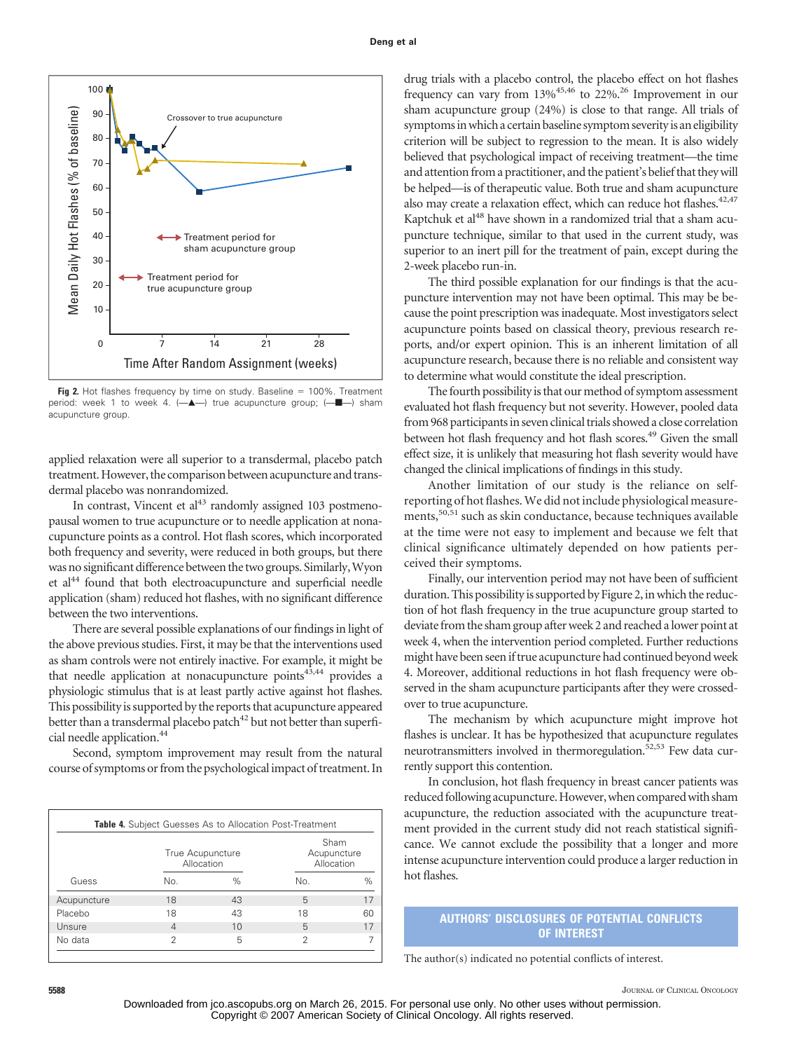#### **Deng et al**



**Fig 2.** Hot flashes frequency by time on study. Baseline = 100%. Treatment period: week 1 to week 4.  $(-\triangle -)$  true acupuncture group;  $(-\triangle -)$  sham acupuncture group.

applied relaxation were all superior to a transdermal, placebo patch treatment.However, the comparison between acupuncture and transdermal placebo was nonrandomized.

In contrast, Vincent et  $al<sup>43</sup>$  randomly assigned 103 postmenopausal women to true acupuncture or to needle application at nonacupuncture points as a control. Hot flash scores, which incorporated both frequency and severity, were reduced in both groups, but there was no significant difference between the two groups. Similarly,Wyon et al<sup>44</sup> found that both electroacupuncture and superficial needle application (sham) reduced hot flashes, with no significant difference between the two interventions.

There are several possible explanations of our findings in light of the above previous studies. First, it may be that the interventions used as sham controls were not entirely inactive. For example, it might be that needle application at nonacupuncture points<sup>43,44</sup> provides a physiologic stimulus that is at least partly active against hot flashes. This possibility is supported by the reports that acupuncture appeared better than a transdermal placebo patch<sup>42</sup> but not better than superficial needle application.44

Second, symptom improvement may result from the natural course of symptoms or from the psychological impact of treatment. In

|             | True Acupuncture<br>Allocation |      | Sham<br>Acupuncture<br>Allocation |    |
|-------------|--------------------------------|------|-----------------------------------|----|
| Guess       | No.                            | $\%$ | No.                               | %  |
| Acupuncture | 18                             | 43   | 5                                 | 17 |
| Placebo     | 18                             | 43   | 18                                | 60 |
| Unsure      | 4                              | 10   | 5                                 | 17 |
| No data     | 2                              | 5    | 2                                 |    |

drug trials with a placebo control, the placebo effect on hot flashes frequency can vary from 13%45,46 to 22%.26 Improvement in our sham acupuncture group (24%) is close to that range. All trials of symptoms in which a certain baseline symptom severity is an eligibility criterion will be subject to regression to the mean. It is also widely believed that psychological impact of receiving treatment—the time and attention from a practitioner, and the patient's belief that they will be helped—is of therapeutic value. Both true and sham acupuncture also may create a relaxation effect, which can reduce hot flashes.<sup>42,47</sup> Kaptchuk et al<sup>48</sup> have shown in a randomized trial that a sham acupuncture technique, similar to that used in the current study, was superior to an inert pill for the treatment of pain, except during the 2-week placebo run-in.

The third possible explanation for our findings is that the acupuncture intervention may not have been optimal. This may be because the point prescription was inadequate. Most investigators select acupuncture points based on classical theory, previous research reports, and/or expert opinion. This is an inherent limitation of all acupuncture research, because there is no reliable and consistent way to determine what would constitute the ideal prescription.

The fourth possibility is that our method of symptom assessment evaluated hot flash frequency but not severity. However, pooled data from 968 participants in seven clinical trials showed a close correlation between hot flash frequency and hot flash scores.<sup>49</sup> Given the small effect size, it is unlikely that measuring hot flash severity would have changed the clinical implications of findings in this study.

Another limitation of our study is the reliance on selfreporting of hot flashes.We did not include physiological measurements,<sup>50,51</sup> such as skin conductance, because techniques available at the time were not easy to implement and because we felt that clinical significance ultimately depended on how patients perceived their symptoms.

Finally, our intervention period may not have been of sufficient duration. This possibility is supported by Figure 2, in which the reduction of hot flash frequency in the true acupuncture group started to deviate from the sham group after week 2 and reached a lower point at week 4, when the intervention period completed. Further reductions might have been seen if true acupuncture had continued beyond week 4. Moreover, additional reductions in hot flash frequency were observed in the sham acupuncture participants after they were crossedover to true acupuncture.

The mechanism by which acupuncture might improve hot flashes is unclear. It has be hypothesized that acupuncture regulates neurotransmitters involved in thermoregulation.<sup>52,53</sup> Few data currently support this contention.

In conclusion, hot flash frequency in breast cancer patients was reduced following acupuncture. However, when compared with sham acupuncture, the reduction associated with the acupuncture treatment provided in the current study did not reach statistical significance. We cannot exclude the possibility that a longer and more intense acupuncture intervention could produce a larger reduction in hot flashes.

# **AUTHORS' DISCLOSURES OF POTENTIAL CONFLICTS OF INTEREST**

The author(s) indicated no potential conflicts of interest.

**5588** JOURNAL OF CLINICAL ONCOLOGY

Downloaded from jco.ascopubs.org on March 26, 2015. For personal use only. No other uses without permission. Copyright © 2007 American Society of Clinical Oncology. All rights reserved.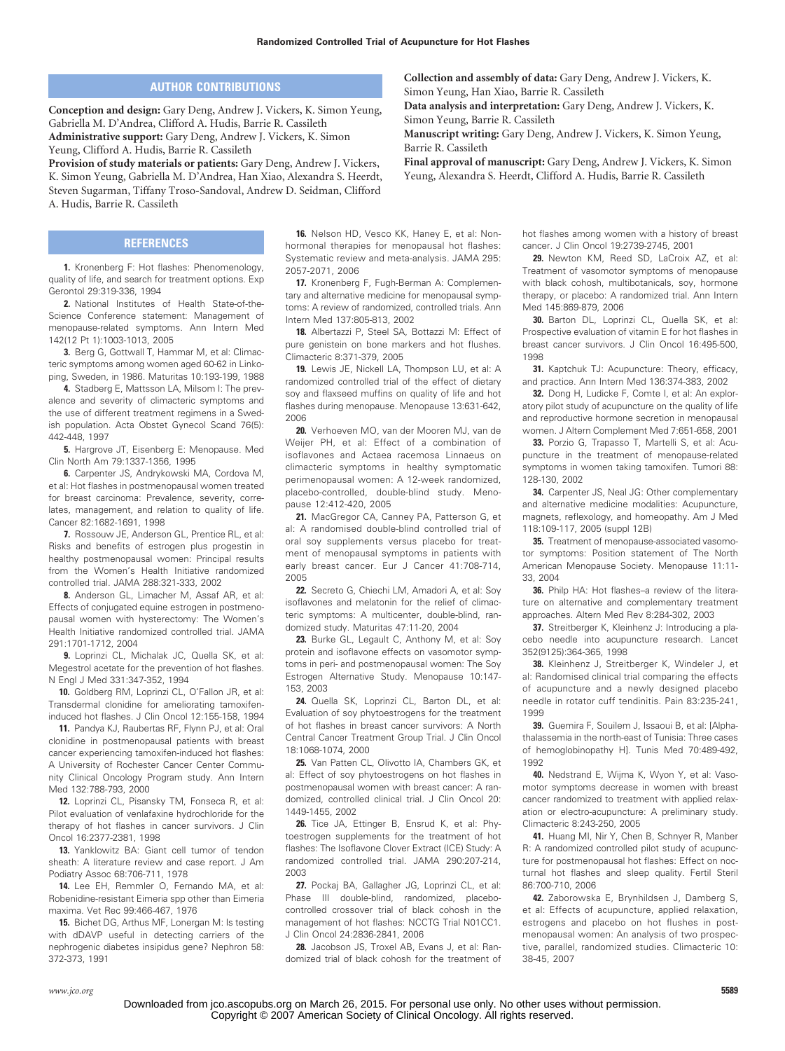# **AUTHOR CONTRIBUTIONS**

**Conception and design:** Gary Deng, Andrew J. Vickers, K. Simon Yeung, Gabriella M. D'Andrea, Clifford A. Hudis, Barrie R. Cassileth **Administrative support:** Gary Deng, Andrew J. Vickers, K. Simon Yeung, Clifford A. Hudis, Barrie R. Cassileth

**Provision of study materials or patients:** Gary Deng, Andrew J. Vickers, K. Simon Yeung, Gabriella M. D'Andrea, Han Xiao, Alexandra S. Heerdt, Steven Sugarman, Tiffany Troso-Sandoval, Andrew D. Seidman, Clifford A. Hudis, Barrie R. Cassileth

## **REFERENCES**

**1.** Kronenberg F: Hot flashes: Phenomenology, quality of life, and search for treatment options. Exp Gerontol 29:319-336, 1994

**2.** National Institutes of Health State-of-the-Science Conference statement: Management of menopause-related symptoms. Ann Intern Med 142(12 Pt 1):1003-1013, 2005

**3.** Berg G, Gottwall T, Hammar M, et al: Climacteric symptoms among women aged 60-62 in Linkoping, Sweden, in 1986. Maturitas 10:193-199, 1988

**4.** Stadberg E, Mattsson LA, Milsom I: The prevalence and severity of climacteric symptoms and the use of different treatment regimens in a Swedish population. Acta Obstet Gynecol Scand 76(5): 442-448, 1997

**5.** Hargrove JT, Eisenberg E: Menopause. Med Clin North Am 79:1337-1356, 1995

**6.** Carpenter JS, Andrykowski MA, Cordova M, et al: Hot flashes in postmenopausal women treated for breast carcinoma: Prevalence, severity, correlates, management, and relation to quality of life. Cancer 82:1682-1691, 1998

**7.** Rossouw JE, Anderson GL, Prentice RL, et al: Risks and benefits of estrogen plus progestin in healthy postmenopausal women: Principal results from the Women's Health Initiative randomized controlled trial. JAMA 288:321-333, 2002

**8.** Anderson GL, Limacher M, Assaf AR, et al: Effects of conjugated equine estrogen in postmenopausal women with hysterectomy: The Women's Health Initiative randomized controlled trial. JAMA 291:1701-1712, 2004

**9.** Loprinzi CL, Michalak JC, Quella SK, et al: Megestrol acetate for the prevention of hot flashes. N Engl J Med 331:347-352, 1994

**10.** Goldberg RM, Loprinzi CL, O'Fallon JR, et al: Transdermal clonidine for ameliorating tamoxifeninduced hot flashes. J Clin Oncol 12:155-158, 1994

**11.** Pandya KJ, Raubertas RF, Flynn PJ, et al: Oral clonidine in postmenopausal patients with breast cancer experiencing tamoxifen-induced hot flashes: A University of Rochester Cancer Center Community Clinical Oncology Program study. Ann Intern Med 132:788-793, 2000

**12.** Loprinzi CL, Pisansky TM, Fonseca R, et al: Pilot evaluation of venlafaxine hydrochloride for the therapy of hot flashes in cancer survivors. J Clin Oncol 16:2377-2381, 1998

**13.** Yanklowitz BA: Giant cell tumor of tendon sheath: A literature review and case report. J Am Podiatry Assoc 68:706-711, 1978

**14.** Lee EH, Remmler O, Fernando MA, et al: Robenidine-resistant Eimeria spp other than Eimeria maxima. Vet Rec 99:466-467, 1976

**15.** Bichet DG, Arthus MF, Lonergan M: Is testing with dDAVP useful in detecting carriers of the nephrogenic diabetes insipidus gene? Nephron 58: 372-373, 1991

**16.** Nelson HD, Vesco KK, Haney E, et al: Nonhormonal therapies for menopausal hot flashes: Systematic review and meta-analysis. JAMA 295: 2057-2071, 2006

**17.** Kronenberg F, Fugh-Berman A: Complementary and alternative medicine for menopausal symptoms: A review of randomized, controlled trials. Ann Intern Med 137:805-813, 2002

**18.** Albertazzi P, Steel SA, Bottazzi M: Effect of pure genistein on bone markers and hot flushes. Climacteric 8:371-379, 2005

**19.** Lewis JE, Nickell LA, Thompson LU, et al: A randomized controlled trial of the effect of dietary soy and flaxseed muffins on quality of life and hot flashes during menopause. Menopause 13:631-642, 2006

**20.** Verhoeven MO, van der Mooren MJ, van de Weijer PH, et al: Effect of a combination of isoflavones and Actaea racemosa Linnaeus on climacteric symptoms in healthy symptomatic perimenopausal women: A 12-week randomized, placebo-controlled, double-blind study. Menopause 12:412-420, 2005

**21.** MacGregor CA, Canney PA, Patterson G, et al: A randomised double-blind controlled trial of oral soy supplements versus placebo for treatment of menopausal symptoms in patients with early breast cancer. Eur J Cancer 41:708-714, 2005

**22.** Secreto G, Chiechi LM, Amadori A, et al: Soy isoflavones and melatonin for the relief of climacteric symptoms: A multicenter, double-blind, randomized study. Maturitas 47:11-20, 2004

**23.** Burke GL, Legault C, Anthony M, et al: Soy protein and isoflavone effects on vasomotor symptoms in peri- and postmenopausal women: The Soy Estrogen Alternative Study. Menopause 10:147- 153, 2003

**24.** Quella SK, Loprinzi CL, Barton DL, et al: Evaluation of soy phytoestrogens for the treatment of hot flashes in breast cancer survivors: A North Central Cancer Treatment Group Trial. J Clin Oncol 18:1068-1074, 2000

**25.** Van Patten CL, Olivotto IA, Chambers GK, et al: Effect of soy phytoestrogens on hot flashes in postmenopausal women with breast cancer: A randomized, controlled clinical trial. J Clin Oncol 20: 1449-1455, 2002

**26.** Tice JA, Ettinger B, Ensrud K, et al: Phytoestrogen supplements for the treatment of hot flashes: The Isoflavone Clover Extract (ICE) Study: A randomized controlled trial. JAMA 290:207-214, 2003

**27.** Pockaj BA, Gallagher JG, Loprinzi CL, et al: Phase III double-blind, randomized, placebocontrolled crossover trial of black cohosh in the management of hot flashes: NCCTG Trial N01CC1. J Clin Oncol 24:2836-2841, 2006

28. Jacobson JS, Troxel AB, Evans J, et al: Randomized trial of black cohosh for the treatment of

**Collection and assembly of data:** Gary Deng, Andrew J. Vickers, K. Simon Yeung, Han Xiao, Barrie R. Cassileth

**Data analysis and interpretation:** Gary Deng, Andrew J. Vickers, K. Simon Yeung, Barrie R. Cassileth

**Manuscript writing:** Gary Deng, Andrew J. Vickers, K. Simon Yeung, Barrie R. Cassileth

**Final approval of manuscript:** Gary Deng, Andrew J. Vickers, K. Simon Yeung, Alexandra S. Heerdt, Clifford A. Hudis, Barrie R. Cassileth

> hot flashes among women with a history of breast cancer. J Clin Oncol 19:2739-2745, 2001

> **29.** Newton KM, Reed SD, LaCroix AZ, et al: Treatment of vasomotor symptoms of menopause with black cohosh, multibotanicals, soy, hormone therapy, or placebo: A randomized trial. Ann Intern Med 145:869-879, 2006

> **30.** Barton DL, Loprinzi CL, Quella SK, et al: Prospective evaluation of vitamin E for hot flashes in breast cancer survivors. J Clin Oncol 16:495-500, 1998

> **31.** Kaptchuk TJ: Acupuncture: Theory, efficacy, and practice. Ann Intern Med 136:374-383, 2002

> **32.** Dong H, Ludicke F, Comte I, et al: An exploratory pilot study of acupuncture on the quality of life and reproductive hormone secretion in menopausal women. J Altern Complement Med 7:651-658, 2001

> **33.** Porzio G, Trapasso T, Martelli S, et al: Acupuncture in the treatment of menopause-related symptoms in women taking tamoxifen. Tumori 88: 128-130, 2002

> **34.** Carpenter JS, Neal JG: Other complementary and alternative medicine modalities: Acupuncture, magnets, reflexology, and homeopathy. Am J Med 118:109-117, 2005 (suppl 12B)

> **35.** Treatment of menopause-associated vasomotor symptoms: Position statement of The North American Menopause Society. Menopause 11:11- 33, 2004

> **36.** Philp HA: Hot flashes–a review of the literature on alternative and complementary treatment approaches. Altern Med Rev 8:284-302, 2003

> **37.** Streitberger K, Kleinhenz J: Introducing a placebo needle into acupuncture research. Lancet 352(9125):364-365, 1998

> **38.** Kleinhenz J, Streitberger K, Windeler J, et al: Randomised clinical trial comparing the effects of acupuncture and a newly designed placebo needle in rotator cuff tendinitis. Pain 83:235-241, 1999

> **39.** Guemira F, Souilem J, Issaoui B, et al: [Alphathalassemia in the north-east of Tunisia: Three cases of hemoglobinopathy H]. Tunis Med 70:489-492, 1992

> **40.** Nedstrand E, Wijma K, Wyon Y, et al: Vasomotor symptoms decrease in women with breast cancer randomized to treatment with applied relaxation or electro-acupuncture: A preliminary study. Climacteric 8:243-250, 2005

> **41.** Huang MI, Nir Y, Chen B, Schnyer R, Manber R: A randomized controlled pilot study of acupuncture for postmenopausal hot flashes: Effect on nocturnal hot flashes and sleep quality. Fertil Steril 86:700-710, 2006

> **42.** Zaborowska E, Brynhildsen J, Damberg S, et al: Effects of acupuncture, applied relaxation, estrogens and placebo on hot flushes in postmenopausal women: An analysis of two prospective, parallel, randomized studies. Climacteric 10: 38-45, 2007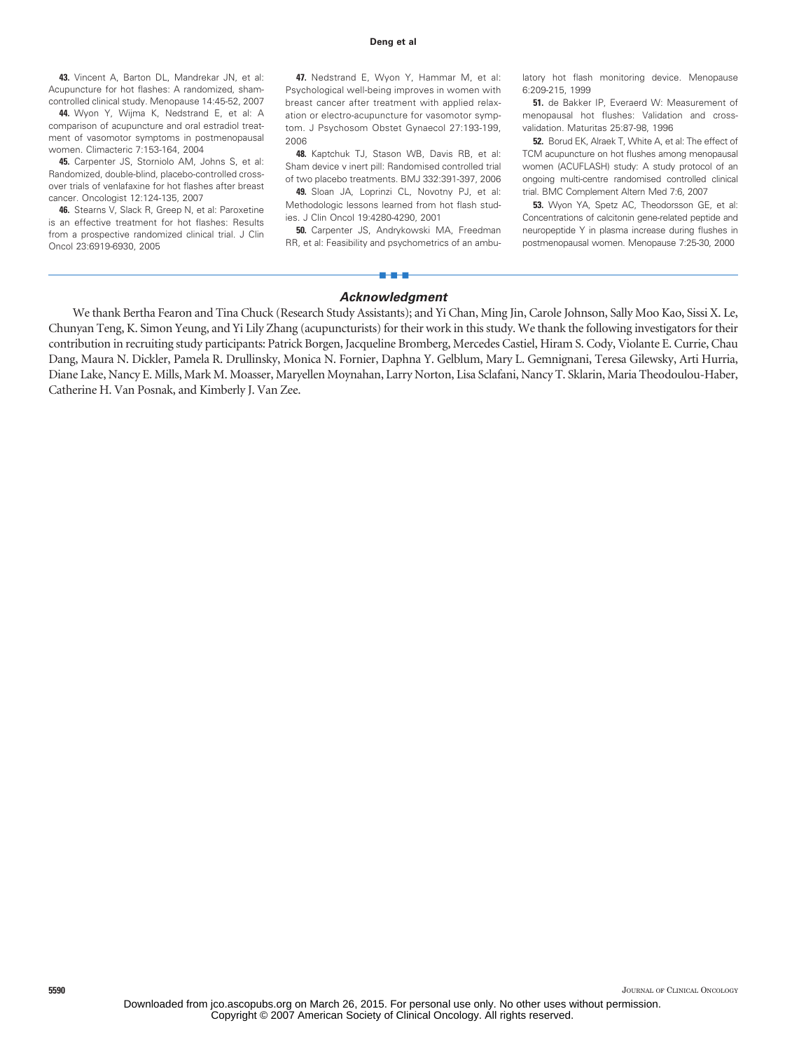#### **Deng et al**

**43.** Vincent A, Barton DL, Mandrekar JN, et al: Acupuncture for hot flashes: A randomized, shamcontrolled clinical study. Menopause 14:45-52, 2007

**44.** Wyon Y, Wijma K, Nedstrand E, et al: A comparison of acupuncture and oral estradiol treatment of vasomotor symptoms in postmenopausal women. Climacteric 7:153-164, 2004

**45.** Carpenter JS, Storniolo AM, Johns S, et al: Randomized, double-blind, placebo-controlled crossover trials of venlafaxine for hot flashes after breast cancer. Oncologist 12:124-135, 2007

**46.** Stearns V, Slack R, Greep N, et al: Paroxetine is an effective treatment for hot flashes: Results from a prospective randomized clinical trial. J Clin Oncol 23:6919-6930, 2005

**47.** Nedstrand E, Wyon Y, Hammar M, et al: Psychological well-being improves in women with breast cancer after treatment with applied relaxation or electro-acupuncture for vasomotor symptom. J Psychosom Obstet Gynaecol 27:193-199, 2006

**48.** Kaptchuk TJ, Stason WB, Davis RB, et al: Sham device v inert pill: Randomised controlled trial of two placebo treatments. BMJ 332:391-397, 2006

**49.** Sloan JA, Loprinzi CL, Novotny PJ, et al: Methodologic lessons learned from hot flash studies. J Clin Oncol 19:4280-4290, 2001

**50.** Carpenter JS, Andrykowski MA, Freedman RR, et al: Feasibility and psychometrics of an ambu-

latory hot flash monitoring device. Menopause 6:209-215, 1999

**51.** de Bakker IP, Everaerd W: Measurement of menopausal hot flushes: Validation and crossvalidation. Maturitas 25:87-98, 1996

**52.** Borud EK, Alraek T, White A, et al: The effect of TCM acupuncture on hot flushes among menopausal women (ACUFLASH) study: A study protocol of an ongoing multi-centre randomised controlled clinical trial. BMC Complement Altern Med 7:6, 2007

**53.** Wyon YA, Spetz AC, Theodorsson GE, et al: Concentrations of calcitonin gene-related peptide and neuropeptide Y in plasma increase during flushes in postmenopausal women. Menopause 7:25-30, 2000

# ■■■ *Acknowledgment*

We thank Bertha Fearon and Tina Chuck (Research Study Assistants); and Yi Chan, Ming Jin, Carole Johnson, Sally Moo Kao, Sissi X. Le, Chunyan Teng, K. Simon Yeung, and Yi Lily Zhang (acupuncturists) for their work in this study. We thank the following investigators for their contribution in recruiting study participants: Patrick Borgen, Jacqueline Bromberg, Mercedes Castiel, Hiram S. Cody, Violante E. Currie, Chau Dang, Maura N. Dickler, Pamela R. Drullinsky, Monica N. Fornier, Daphna Y. Gelblum, Mary L. Gemnignani, Teresa Gilewsky, Arti Hurria, Diane Lake, Nancy E. Mills, Mark M. Moasser, Maryellen Moynahan, Larry Norton, Lisa Sclafani, Nancy T. Sklarin, Maria Theodoulou-Haber, Catherine H. Van Posnak, and Kimberly J. Van Zee.